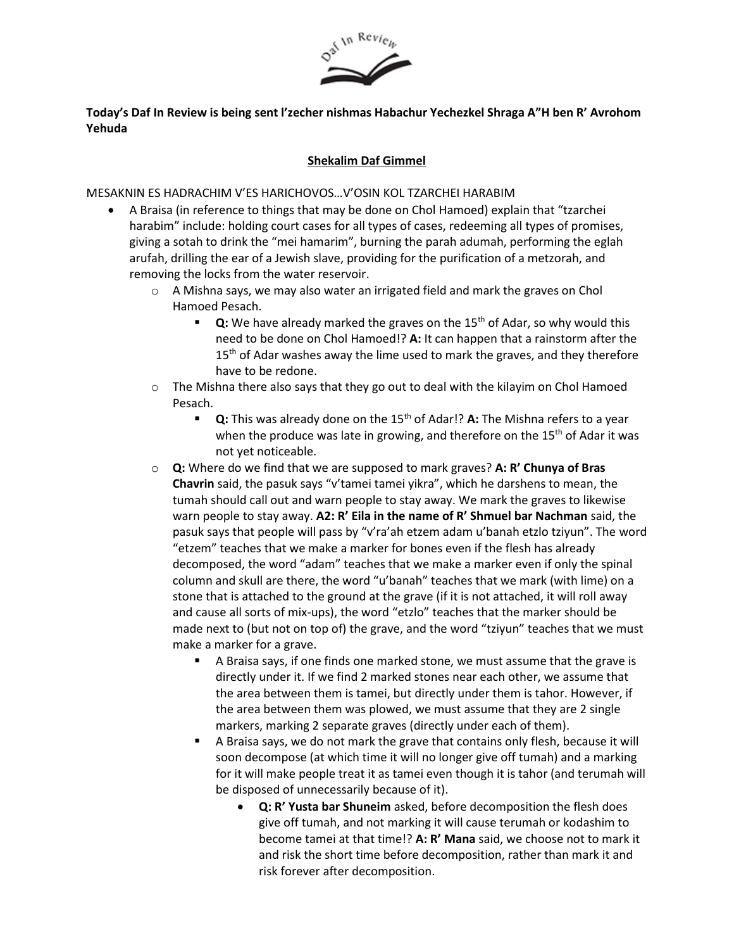

# **Today's Daf In Review is being sent l'zecher nishmas Habachur Yechezkel Shraga A"H ben R' Avrohom Yehuda**

## **Shekalim Daf Gimmel**

MESAKNIN ES HADRACHIM V'ES HARICHOVOS…V'OSIN KOL TZARCHEI HARABIM

- A Braisa (in reference to things that may be done on Chol Hamoed) explain that "tzarchei harabim" include: holding court cases for all types of cases, redeeming all types of promises, giving a sotah to drink the "mei hamarim", burning the parah adumah, performing the eglah arufah, drilling the ear of a Jewish slave, providing for the purification of a metzorah, and removing the locks from the water reservoir.
	- o A Mishna says, we may also water an irrigated field and mark the graves on Chol Hamoed Pesach.
		- **Q:** We have already marked the graves on the 15<sup>th</sup> of Adar, so why would this need to be done on Chol Hamoed!? **A:** It can happen that a rainstorm after the 15<sup>th</sup> of Adar washes away the lime used to mark the graves, and they therefore have to be redone.
	- $\circ$  The Mishna there also says that they go out to deal with the kilayim on Chol Hamoed Pesach.
		- **Q:** This was already done on the 15<sup>th</sup> of Adar!? A: The Mishna refers to a year when the produce was late in growing, and therefore on the  $15<sup>th</sup>$  of Adar it was not yet noticeable.
	- o **Q:** Where do we find that we are supposed to mark graves? **A: R' Chunya of Bras Chavrin** said, the pasuk says "v'tamei tamei yikra", which he darshens to mean, the tumah should call out and warn people to stay away. We mark the graves to likewise warn people to stay away. **A2: R' Eila in the name of R' Shmuel bar Nachman** said, the pasuk says that people will pass by "v'ra'ah etzem adam u'banah etzlo tziyun". The word "etzem" teaches that we make a marker for bones even if the flesh has already decomposed, the word "adam" teaches that we make a marker even if only the spinal column and skull are there, the word "u'banah" teaches that we mark (with lime) on a stone that is attached to the ground at the grave (if it is not attached, it will roll away and cause all sorts of mix-ups), the word "etzlo" teaches that the marker should be made next to (but not on top of) the grave, and the word "tziyun" teaches that we must make a marker for a grave.
		- A Braisa says, if one finds one marked stone, we must assume that the grave is directly under it. If we find 2 marked stones near each other, we assume that the area between them is tamei, but directly under them is tahor. However, if the area between them was plowed, we must assume that they are 2 single markers, marking 2 separate graves (directly under each of them).
		- A Braisa says, we do not mark the grave that contains only flesh, because it will soon decompose (at which time it will no longer give off tumah) and a marking for it will make people treat it as tamei even though it is tahor (and terumah will be disposed of unnecessarily because of it).
			- **Q: R' Yusta bar Shuneim** asked, before decomposition the flesh does give off tumah, and not marking it will cause terumah or kodashim to become tamei at that time!? **A: R' Mana** said, we choose not to mark it and risk the short time before decomposition, rather than mark it and risk forever after decomposition.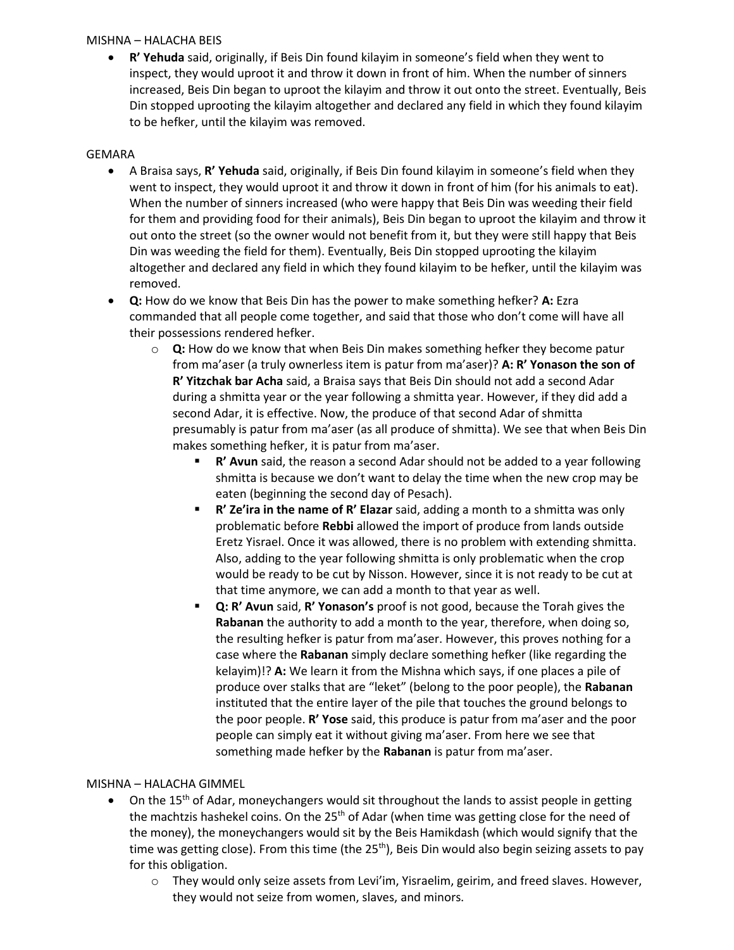#### MISHNA – HALACHA BEIS

• **R' Yehuda** said, originally, if Beis Din found kilayim in someone's field when they went to inspect, they would uproot it and throw it down in front of him. When the number of sinners increased, Beis Din began to uproot the kilayim and throw it out onto the street. Eventually, Beis Din stopped uprooting the kilayim altogether and declared any field in which they found kilayim to be hefker, until the kilayim was removed.

## GEMARA

- A Braisa says, **R' Yehuda** said, originally, if Beis Din found kilayim in someone's field when they went to inspect, they would uproot it and throw it down in front of him (for his animals to eat). When the number of sinners increased (who were happy that Beis Din was weeding their field for them and providing food for their animals), Beis Din began to uproot the kilayim and throw it out onto the street (so the owner would not benefit from it, but they were still happy that Beis Din was weeding the field for them). Eventually, Beis Din stopped uprooting the kilayim altogether and declared any field in which they found kilayim to be hefker, until the kilayim was removed.
- **Q:** How do we know that Beis Din has the power to make something hefker? **A:** Ezra commanded that all people come together, and said that those who don't come will have all their possessions rendered hefker.
	- o **Q:** How do we know that when Beis Din makes something hefker they become patur from ma'aser (a truly ownerless item is patur from ma'aser)? **A: R' Yonason the son of R' Yitzchak bar Acha** said, a Braisa says that Beis Din should not add a second Adar during a shmitta year or the year following a shmitta year. However, if they did add a second Adar, it is effective. Now, the produce of that second Adar of shmitta presumably is patur from ma'aser (as all produce of shmitta). We see that when Beis Din makes something hefker, it is patur from ma'aser.
		- **R' Avun** said, the reason a second Adar should not be added to a year following shmitta is because we don't want to delay the time when the new crop may be eaten (beginning the second day of Pesach).
		- **R' Ze'ira in the name of R' Elazar** said, adding a month to a shmitta was only problematic before **Rebbi** allowed the import of produce from lands outside Eretz Yisrael. Once it was allowed, there is no problem with extending shmitta. Also, adding to the year following shmitta is only problematic when the crop would be ready to be cut by Nisson. However, since it is not ready to be cut at that time anymore, we can add a month to that year as well.
		- Q: R' Avun said, R' Yonason's proof is not good, because the Torah gives the **Rabanan** the authority to add a month to the year, therefore, when doing so, the resulting hefker is patur from ma'aser. However, this proves nothing for a case where the **Rabanan** simply declare something hefker (like regarding the kelayim)!? **A:** We learn it from the Mishna which says, if one places a pile of produce over stalks that are "leket" (belong to the poor people), the **Rabanan** instituted that the entire layer of the pile that touches the ground belongs to the poor people. **R' Yose** said, this produce is patur from ma'aser and the poor people can simply eat it without giving ma'aser. From here we see that something made hefker by the **Rabanan** is patur from ma'aser.

# MISHNA – HALACHA GIMMEL

- On the 15<sup>th</sup> of Adar, moneychangers would sit throughout the lands to assist people in getting the machtzis hashekel coins. On the 25<sup>th</sup> of Adar (when time was getting close for the need of the money), the moneychangers would sit by the Beis Hamikdash (which would signify that the time was getting close). From this time (the 25<sup>th</sup>), Beis Din would also begin seizing assets to pay for this obligation.
	- o They would only seize assets from Levi'im, Yisraelim, geirim, and freed slaves. However, they would not seize from women, slaves, and minors.